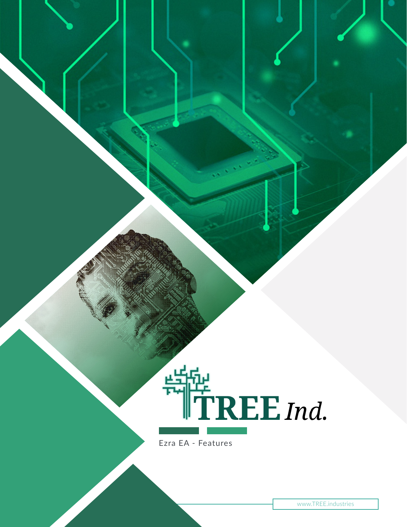

Ezra EA - Features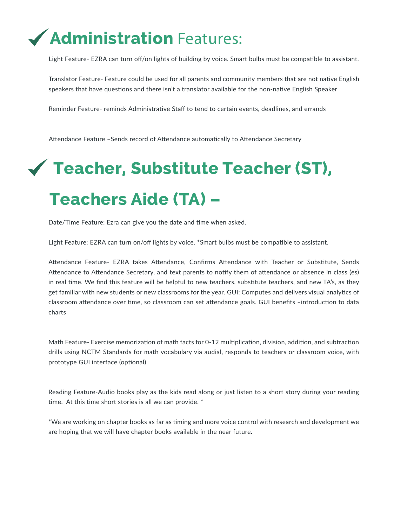## **Administration** Features:

Light Feature- EZRA can turn off/on lights of building by voice. Smart bulbs must be compatible to assistant.

Translator Feature- Feature could be used for all parents and community members that are not native English speakers that have questions and there isn't a translator available for the non-native English Speaker

Reminder Feature- reminds Administrative Staff to tend to certain events, deadlines, and errands

Attendance Feature –Sends record of Attendance automatically to Attendance Secretary

# **Teacher, Substitute Teacher (ST), Teachers Aide (TA) –**

Date/Time Feature: Ezra can give you the date and time when asked.

Light Feature: EZRA can turn on/off lights by voice. \*Smart bulbs must be compatible to assistant.

Attendance Feature- EZRA takes Attendance, Confirms Attendance with Teacher or Substitute, Sends Attendance to Attendance Secretary, and text parents to notify them of attendance or absence in class (es) in real time. We find this feature will be helpful to new teachers, substitute teachers, and new TA's, as they get familiar with new students or new classrooms for the year. GUI: Computes and delivers visual analytics of classroom attendance over time, so classroom can set attendance goals. GUI benefits –introduction to data charts

Math Feature- Exercise memorization of math facts for 0-12 multiplication, division, addition, and subtraction drills using NCTM Standards for math vocabulary via audial, responds to teachers or classroom voice, with prototype GUI interface (optional)

Reading Feature-Audio books play as the kids read along or just listen to a short story during your reading time. At this time short stories is all we can provide. \*

\*We are working on chapter books as far as timing and more voice control with research and development we are hoping that we will have chapter books available in the near future.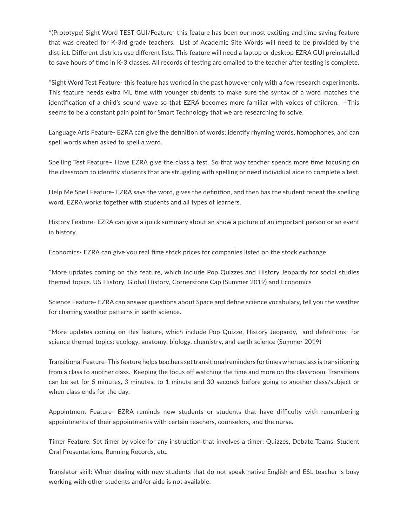\*(Prototype) Sight Word TEST GUI/Feature- this feature has been our most exciting and time saving feature that was created for K-3rd grade teachers. List of Academic Site Words will need to be provided by the district. Different districts use different lists. This feature will need a laptop or desktop EZRA GUI preinstalled to save hours of time in K-3 classes. All records of testing are emailed to the teacher after testing is complete.

\*Sight Word Test Feature- this feature has worked in the past however only with a few research experiments. This feature needs extra ML time with younger students to make sure the syntax of a word matches the identification of a child's sound wave so that EZRA becomes more familiar with voices of children. –This seems to be a constant pain point for Smart Technology that we are researching to solve.

Language Arts Feature- EZRA can give the definition of words; identify rhyming words, homophones, and can spell words when asked to spell a word.

Spelling Test Feature– Have EZRA give the class a test. So that way teacher spends more time focusing on the classroom to identify students that are struggling with spelling or need individual aide to complete a test.

Help Me Spell Feature- EZRA says the word, gives the definition, and then has the student repeat the spelling word. EZRA works together with students and all types of learners.

History Feature- EZRA can give a quick summary about an show a picture of an important person or an event in history.

Economics- EZRA can give you real time stock prices for companies listed on the stock exchange.

\*More updates coming on this feature, which include Pop Quizzes and History Jeopardy for social studies themed topics. US History, Global History, Cornerstone Cap (Summer 2019) and Economics

Science Feature- EZRA can answer questions about Space and define science vocabulary, tell you the weather for charting weather patterns in earth science.

\*More updates coming on this feature, which include Pop Quizze, History Jeopardy, and definitions for science themed topics: ecology, anatomy, biology, chemistry, and earth science (Summer 2019)

Transitional Feature- This feature helps teachers set transitional reminders for times when a class is transitioning from a class to another class. Keeping the focus off watching the time and more on the classroom. Transitions can be set for 5 minutes, 3 minutes, to 1 minute and 30 seconds before going to another class/subject or when class ends for the day.

Appointment Feature- EZRA reminds new students or students that have difficulty with remembering appointments of their appointments with certain teachers, counselors, and the nurse.

Timer Feature: Set timer by voice for any instruction that involves a timer: Quizzes, Debate Teams, Student Oral Presentations, Running Records, etc.

Translator skill: When dealing with new students that do not speak native English and ESL teacher is busy working with other students and/or aide is not available.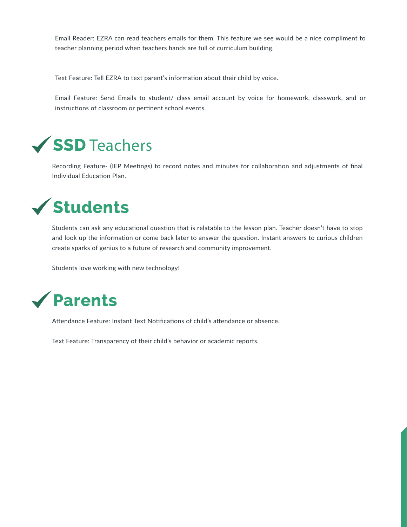Email Reader: EZRA can read teachers emails for them. This feature we see would be a nice compliment to teacher planning period when teachers hands are full of curriculum building.

Text Feature: Tell EZRA to text parent's information about their child by voice.

Email Feature: Send Emails to student/ class email account by voice for homework, classwork, and or instructions of classroom or pertinent school events.

## **SSD** Teachers

Recording Feature- (IEP Meetings) to record notes and minutes for collaboration and adjustments of final Individual Education Plan.



Students can ask any educational question that is relatable to the lesson plan. Teacher doesn't have to stop and look up the information or come back later to answer the question. Instant answers to curious children create sparks of genius to a future of research and community improvement.

Students love working with new technology!



Attendance Feature: Instant Text Notifications of child's attendance or absence.

Text Feature: Transparency of their child's behavior or academic reports.